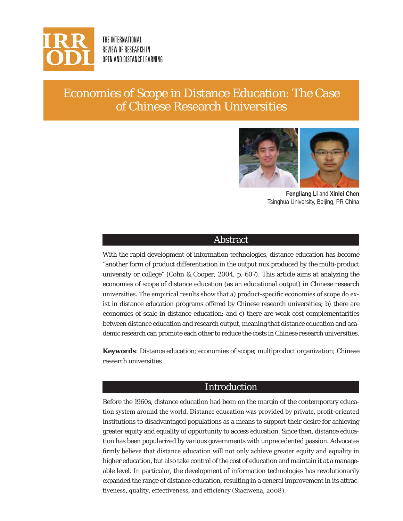

THE INTERNATIONAL REVIEW OF RESEARCH IN OPEN AND DISTANCE LEARNING

# Economies of Scope in Distance Education: The Case of Chinese Research Universities



**Fengliang Li** and **Xinlei Chen** Tsinghua University, Beijing, PR China

### Abstract

With the rapid development of information technologies, distance education has become "another form of product differentiation in the output mix produced by the multi-product university or college" (Cohn & Cooper, 2004, p. 607). This article aims at analyzing the economies of scope of distance education (as an educational output) in Chinese research universities. The empirical results show that a) product-specific economies of scope do exist in distance education programs offered by Chinese research universities; b) there are economies of scale in distance education; and c) there are weak cost complementarities between distance education and research output, meaning that distance education and academic research can promote each other to reduce the costs in Chinese research universities.

**Keywords**: Distance education; economies of scope; multiproduct organization; Chinese research universities

### Introduction

Before the 1960s, distance education had been on the margin of the contemporary education system around the world. Distance education was provided by private, profit-oriented institutions to disadvantaged populations as a means to support their desire for achieving greater equity and equality of opportunity to access education. Since then, distance education has been popularized by various governments with unprecedented passion. Advocates firmly believe that distance education will not only achieve greater equity and equality in higher education, but also take control of the cost of education and maintain it at a manageable level. In particular, the development of information technologies has revolutionarily expanded the range of distance education, resulting in a general improvement in its attractiveness, quality, effectiveness, and efficiency (Siaciwena, 2008).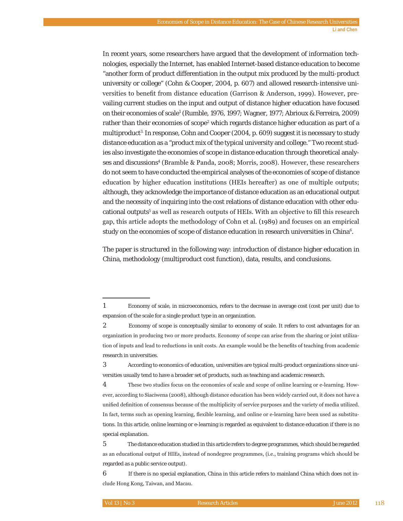In recent years, some researchers have argued that the development of information technologies, especially the Internet, has enabled Internet-based distance education to become "another form of product differentiation in the output mix produced by the multi-product university or college" (Cohn & Cooper, 2004, p. 607) and allowed research-intensive universities to benefit from distance education (Garrison & Anderson, 1999). However, prevailing current studies on the input and output of distance higher education have focused on their economies of scale1 (Rumble, 1976, 1997; Wagner, 1977; Abrioux & Ferreira, 2009) rather than their economies of scope<sup>2</sup> which regards distance higher education as part of a multiproduct<sup>3</sup>. In response, Cohn and Cooper (2004, p. 609) suggest it is necessary to study distance education as a "product mix of the typical university and college." Two recent studies also investigate the economies of scope in distance education through theoretical analyses and discussions<sup>4</sup> (Bramble & Panda, 2008; Morris, 2008). However, these researchers do not seem to have conducted the empirical analyses of the economies of scope of distance education by higher education institutions (HEIs hereafter) as one of multiple outputs; although, they acknowledge the importance of distance education as an educational output and the necessity of inquiring into the cost relations of distance education with other educational outputs<sup>5</sup> as well as research outputs of HEIs. With an objective to fill this research gap, this article adopts the methodology of Cohn et al. (1989) and focuses on an empirical study on the economies of scope of distance education in research universities in China $^6\!$ .

The paper is structured in the following way: introduction of distance higher education in China, methodology (multiproduct cost function), data, results, and conclusions.

3 According to economics of education, universities are typical multi-product organizations since universities usually tend to have a broader set of products, such as teaching and academic research.

4 These two studies focus on the economies of scale and scope of online learning or e-learning. However, according to Siaciwena (2008), although distance education has been widely carried out, it does not have a unified definition of consensus because of the multiplicity of service purposes and the variety of media utilized. In fact, terms such as opening learning, flexible learning, and online or e-learning have been used as substitutions. In this article, online learning or e-learning is regarded as equivalent to distance education if there is no special explanation.

<sup>1</sup> Economy of scale, in microeconomics, refers to the decrease in average cost (cost per unit) due to expansion of the scale for a single product type in an organization.

<sup>2</sup> Economy of scope is conceptually similar to economy of scale. It refers to cost advantages for an organization in producing two or more products. Economy of scope can arise from the sharing or joint utilization of inputs and lead to reductions in unit costs. An example would be the benefits of teaching from academic research in universities.

<sup>5</sup> The distance education studied in this article refers to degree programmes, which should be regarded as an educational output of HIEs, instead of nondegree programmes, (i.e., training programs which should be regarded as a public service output).

<sup>6</sup> If there is no special explanation, China in this article refers to mainland China which does not include Hong Kong, Taiwan, and Macau.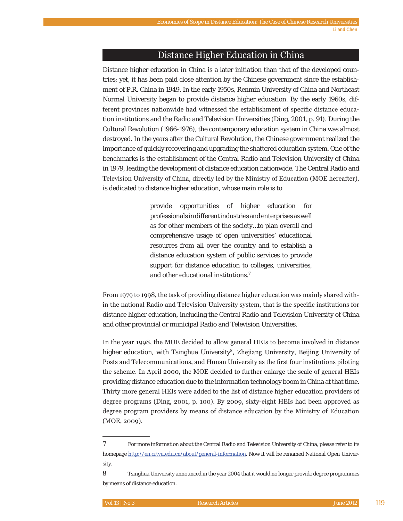### Distance Higher Education in China

Distance higher education in China is a later initiation than that of the developed countries; yet, it has been paid close attention by the Chinese government since the establishment of P.R. China in 1949. In the early 1950s, Renmin University of China and Northeast Normal University began to provide distance higher education. By the early 1960s, different provinces nationwide had witnessed the establishment of specific distance education institutions and the Radio and Television Universities (Ding, 2001, p. 91). During the Cultural Revolution (1966-1976), the contemporary education system in China was almost destroyed. In the years after the Cultural Revolution, the Chinese government realized the importance of quickly recovering and upgrading the shattered education system. One of the benchmarks is the establishment of the Central Radio and Television University of China in 1979, leading the development of distance education nationwide. The Central Radio and Television University of China, directly led by the Ministry of Education (MOE hereafter), is dedicated to distance higher education, whose main role is to

> provide opportunities of higher education for professionals in different industries and enterprises as well as for other members of the society…to plan overall and comprehensive usage of open universities' educational resources from all over the country and to establish a distance education system of public services to provide support for distance education to colleges, universities, and other educational institutions.<sup>7</sup>

From 1979 to 1998, the task of providing distance higher education was mainly shared within the national Radio and Television University system, that is the specific institutions for distance higher education, including the Central Radio and Television University of China and other provincial or municipal Radio and Television Universities.

In the year 1998, the MOE decided to allow general HEIs to become involved in distance higher education, with Tsinghua University<sup>8</sup>, Zhejiang University, Beijing University of Posts and Telecommunications, and Hunan University as the first four institutions piloting the scheme. In April 2000, the MOE decided to further enlarge the scale of general HEIs providing distance education due to the information technology boom in China at that time. Thirty more general HEIs were added to the list of distance higher education providers of degree programs (Ding, 2001, p. 100). By 2009, sixty-eight HEIs had been approved as degree program providers by means of distance education by the Ministry of Education  $(MOE, 2009).$ 

<sup>7</sup> For more information about the Central Radio and Television University of China, please refer to its homepage http://en.crtvu.edu.cn/about/general-information. Now it will be renamed National Open University.

Tsinghua University announced in the year 2004 that it would no longer provide degree programmes by means of distance education.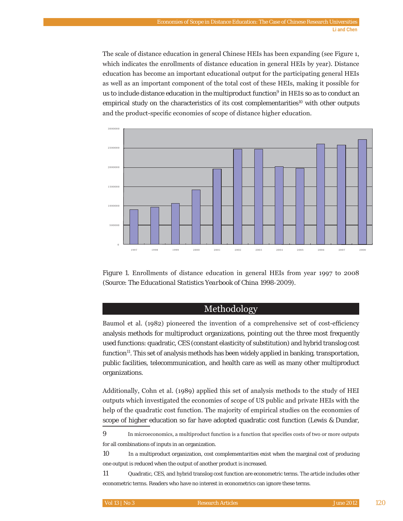The scale of distance education in general Chinese HEIs has been expanding (see Figure 1, which indicates the enrollments of distance education in general HEIs by year). Distance education has become an important educational output for the participating general HEIs as well as an important component of the total cost of these HEIs, making it possible for us to include distance education in the multiproduct function $^{\circ}$  in HEIs so as to conduct an empirical study on the characteristics of its cost complementarities<sup>10</sup> with other outputs and the product-specific economies of scope of distance higher education.





### Methodology

Baumol et al. (1982) pioneered the invention of a comprehensive set of cost-efficiency analysis methods for multiproduct organizations, pointing out the three most frequently used functions: quadratic, CES (constant elasticity of substitution) and hybrid translog cost function $11$ . This set of analysis methods has been widely applied in banking, transportation, public facilities, telecommunication, and health care as well as many other multiproduct organizations.

Additionally, Cohn et al.  $(1989)$  applied this set of analysis methods to the study of HEI outputs which investigated the economies of scope of US public and private HEIs with the help of the quadratic cost function. The majority of empirical studies on the economies of scope of higher education so far have adopted quadratic cost function (Lewis & Dundar,

<sup>9</sup> In microeconomics, a multiproduct function is a function that specifies costs of two or more outputs for all combinations of inputs in an organization.

<sup>10</sup> In a multiproduct organization, cost complementarities exist when the marginal cost of producing one output is reduced when the output of another product is increased.

<sup>11</sup> Quadratic, CES, and hybrid translog cost function are econometric terms. The article includes other econometric terms. Readers who have no interest in econometrics can ignore these terms.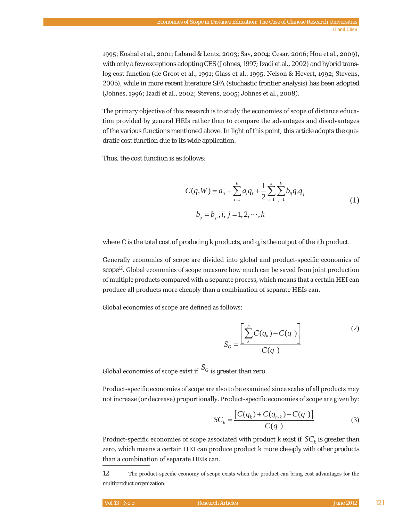1995; Koshal et al., 2001; Laband & Lentz, 2003; Sav, 2004; Cesar, 2006; Hou et al., 2009), with only a few exceptions adopting CES (Johnes, 1997; Izadi et al., 2002) and hybrid translog cost function (de Groot et al., 1991; Glass et al., 1995; Nelson & Hevert, 1992; Stevens, 2005), while in more recent literature SFA (stochastic frontier analysis) has been adopted (Johnes, 1996; Izadi et al., 2002; Stevens, 2005; Johnes et al., 2008).

The primary objective of this research is to study the economies of scope of distance education provided by general HEIs rather than to compare the advantages and disadvantages of the various functions mentioned above. In light of this point, this article adopts the quadratic cost function due to its wide application.

Thus, the cost function is as follows:

$$
C(q, W) = a_0 + \sum_{i=1}^{k} a_i q_i + \frac{1}{2} \sum_{i=1}^{k} \sum_{j=1}^{k} b_{ij} q_i q_j
$$
  

$$
b_{ij} = b_{ji}, i, j = 1, 2, \cdots, k
$$
 (1)

where *C* is the total cost of producing *k* products, and *qi* is the output of the *i*th product.

Generally economies of scope are divided into global and product-specific economies of scope<sup>12</sup>. Global economies of scope measure how much can be saved from joint production of multiple products compared with a separate process, which means that a certain HEI can produce all products more cheaply than a combination of separate HEIs can.

Global economies of scope are defined as follows:

$$
S_G = \frac{\left[\sum_{k=1}^{n} C(q_k) - C(q)\right]}{C(q)}
$$
\n(2)

Global economies of scope exist if  $S_G$  is greater than zero.

Product-specific economies of scope are also to be examined since scales of all products may not increase (or decrease) proportionally. Product-specific economies of scope are given by:

$$
SC_k = \frac{\left[C(q_k) + C(q_{n-k}) - C(q)\right]}{C(q)}
$$
\n(3)

Product-specific economies of scope associated with product  $k$  exist if  $SC_k$  is greater than zero, which means a certain HEI can produce product  $k$  more cheaply with other products than a combination of separate HEIs can.

12 The product-specific economy of scope exists when the product can bring cost advantages for the multiproduct organization.

| Vol 13   No 3<br>June 2012  <br><b>Research Articles</b> |  |
|----------------------------------------------------------|--|
|----------------------------------------------------------|--|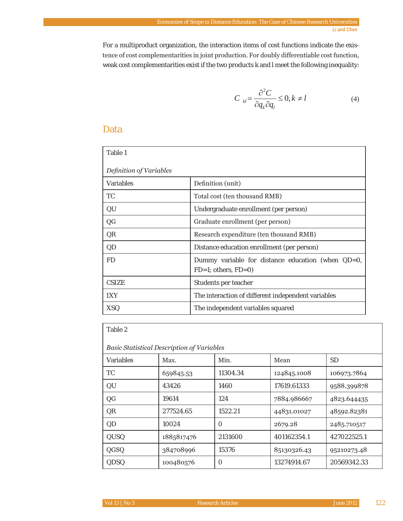For a multiproduct organization, the interaction items of cost functions indicate the existence of cost complementarities in joint production. For doubly differentiable cost function, weak cost complementarities exist if the two products *k* and *l* meet the following inequality:

$$
C_{kl} = \frac{\partial^2 C}{\partial q_k \partial q_l} \le 0, k \ne l
$$
\n(4)

### Data

| Table 1                 |                                                                                |  |  |
|-------------------------|--------------------------------------------------------------------------------|--|--|
| Definition of Variables |                                                                                |  |  |
| Variables               | Definition (unit)                                                              |  |  |
| TC.                     | Total cost (ten thousand RMB)                                                  |  |  |
| QU                      | Undergraduate enrollment (per person)                                          |  |  |
| QG                      | Graduate enrollment (per person)                                               |  |  |
| QR                      | Research expenditure (ten thousand RMB)                                        |  |  |
| QD                      | Distance education enrollment (per person)                                     |  |  |
| FD                      | Dummy variable for distance education (when QD=0,<br>$FD=1$ ; others, $FD=0$ ) |  |  |
| CSIZE                   | Students per teacher                                                           |  |  |
| <b>IXY</b>              | The interaction of different independent variables                             |  |  |
| <b>XSQ</b>              | The independent variables squared                                              |  |  |

| . .<br>۰.<br>×<br>۹<br>× |  |
|--------------------------|--|
|--------------------------|--|

| <b>Basic Statistical Description of Variables</b> |            |          |             |             |
|---------------------------------------------------|------------|----------|-------------|-------------|
| Variables                                         | Max.       | Min.     | Mean        | SD          |
| <b>TC</b>                                         | 659845.53  | 11304.34 | 124845.1008 | 106973.7864 |
| OU                                                | 43426      | 1460     | 17619.61333 | 9588.399878 |
| QG                                                | 19614      | 124      | 7884.986667 | 4823.644435 |
| <b>OR</b>                                         | 277524.65  | 1522.21  | 44831.01027 | 48592.82381 |
| <b>OD</b>                                         | 10024      | O        | 2679.28     | 2485.710517 |
| <b>QUSO</b>                                       | 1885817476 | 2131600  | 401162354.1 | 427022525.1 |
| QGSQ                                              | 384708996  | 15376    | 85130326.43 | 95210273.48 |
| <b>ODSO</b>                                       | 100480576  | $\Omega$ | 13274914.67 | 20569342.33 |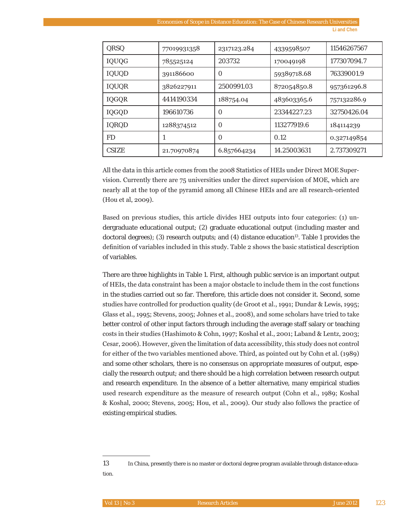| <b>ORSO</b>  | 77019931358 | 2317123.284 | 4339598507  | 11546267567 |
|--------------|-------------|-------------|-------------|-------------|
| IQUQG        | 785525124   | 203732      | 170049198   | 177307094.7 |
| <b>IOUOD</b> | 391186600   | 0           | 59389718.68 | 76339001.9  |
| <b>IQUOR</b> | 3826227911  | 2500991.03  | 872054850.8 | 957361296.8 |
| IQGQR        | 4414190334  | 188754.04   | 483603365.6 | 757132286.9 |
| IQGQD        | 196610736   | O           | 23344227.23 | 32750426.04 |
| <b>IOROD</b> | 1288374512  | $\Omega$    | 113277919.6 | 184114239   |
| FD           |             | $\Omega$    | 0.12        | 0.327149854 |
| CSIZE        | 21.70970874 | 6.857664234 | 14.25003631 | 2.737309271 |

All the data in this article comes from the 2008 Statistics of HEIs under Direct MOE Supervision. Currently there are  $75$  universities under the direct supervision of MOE, which are nearly all at the top of the pyramid among all Chinese HEIs and are all research-oriented (Hou et al, 2009).

Based on previous studies, this article divides HEI outputs into four categories: (1) undergraduate educational output; (2) graduate educational output (including master and doctoral degrees); (3) research outputs; and (4) distance education<sup>13</sup>. Table 1 provides the definition of variables included in this study. Table 2 shows the basic statistical description of variables.

There are three highlights in Table 1. First, although public service is an important output of HEIs, the data constraint has been a major obstacle to include them in the cost functions in the studies carried out so far. Therefore, this article does not consider it. Second, some studies have controlled for production quality (de Groot et al., 1991; Dundar & Lewis, 1995; Glass et al., 1995; Stevens, 2005; Johnes et al., 2008), and some scholars have tried to take better control of other input factors through including the average staff salary or teaching costs in their studies (Hashimoto & Cohn, 1997; Koshal et al., 2001; Laband & Lentz, 2003; Cesar, 2006). However, given the limitation of data accessibility, this study does not control for either of the two variables mentioned above. Third, as pointed out by Cohn et al. (1989) and some other scholars, there is no consensus on appropriate measures of output, especially the research output; and there should be a high correlation between research output and research expenditure. In the absence of a better alternative, many empirical studies used research expenditure as the measure of research output (Cohn et al., 1989; Koshal & Koshal, 2000; Stevens, 2005; Hou, et al., 2009). Our study also follows the practice of existing empirical studies.

<sup>13</sup> In China, presently there is no master or doctoral degree program available through distance education.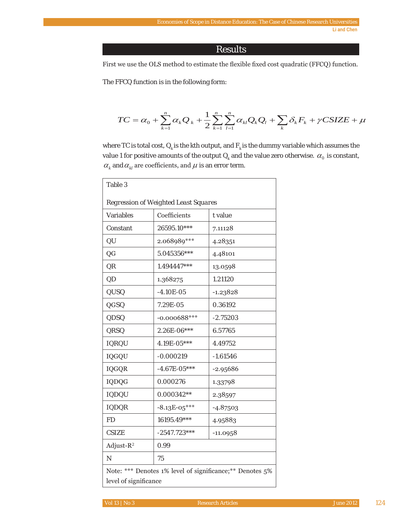### Results

First we use the OLS method to estimate the flexible fixed cost quadratic (FFCQ) function.

The FFCQ function is in the following form:

$$
TC = \alpha_0 + \sum_{k=1}^n \alpha_k Q_k + \frac{1}{2} \sum_{k=1}^n \sum_{l=1}^n \alpha_{kl} Q_k Q_l + \sum_k \delta_k F_k + \gamma CSIZE + \mu
$$

where TC is total cost,  $Q_k$  is the kth output, and  $F_k$  is the dummy variable which assumes the value 1 for positive amounts of the output  $Q_k$  and the value zero otherwise.  $\alpha_0$  is constant,  $\alpha_{k}$  and  $\alpha_{kl}$  are coefficients, and  $\mu$  is an error term.

| Table 3                                                                            |                           |            |  |
|------------------------------------------------------------------------------------|---------------------------|------------|--|
| Regression of Weighted Least Squares                                               |                           |            |  |
| Variables                                                                          | Coefficients<br>$t$ value |            |  |
| Constant                                                                           | 26595.10***<br>7.11128    |            |  |
| QU                                                                                 | 2.068989***               | 4.28351    |  |
| QG                                                                                 | 5.045356***               | 4.48101    |  |
| QR                                                                                 | $1.494447***$             | 13.0598    |  |
| QD                                                                                 | 1.368275                  | 1.21120    |  |
| QUSQ                                                                               | $-4.10E - 05$             | $-1.23828$ |  |
| QGSQ                                                                               | 7.29E-05                  | 0.36192    |  |
| QDSQ                                                                               | $-0.000688$ ***           | $-2.75203$ |  |
| QRSQ                                                                               | 2.26E-06***               | 6.57765    |  |
| <b>IQRQU</b>                                                                       | 4.19E-05***               | 4.49752    |  |
| IQGQU                                                                              | $-0.000219$               | $-1.61546$ |  |
| <b>IQGQR</b>                                                                       | $-4.67E - 05***$          | $-2.95686$ |  |
| IQDQG                                                                              | 0.000276                  | 1.33798    |  |
| <b>IQDQU</b>                                                                       | 0.000342**                | 2.38597    |  |
| <b>IQDQR</b>                                                                       | $-8.13E-05***$            | $-4.87503$ |  |
| <b>FD</b>                                                                          | 16195.49***               | 4.95883    |  |
| CSIZE                                                                              | $-2547.723***$            | $-11.0958$ |  |
| Adjust- $R^2$                                                                      | 0.99                      |            |  |
| N                                                                                  | 75                        |            |  |
| Note: *** Denotes 1% level of significance; ** Denotes 5%<br>level of significance |                           |            |  |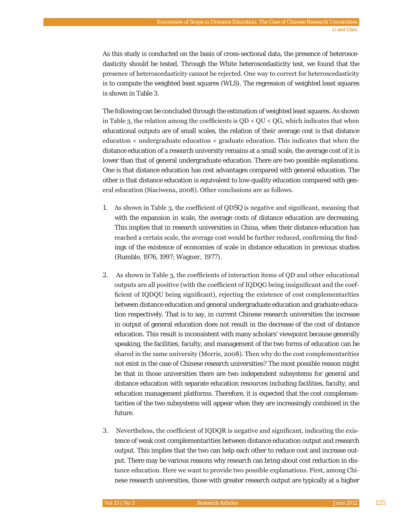As this study is conducted on the basis of cross-sectional data, the presence of heteroscedasticity should be tested. Through the White heteroscedasticity test, we found that the presence of heteroscedasticity cannot be rejected. One way to correct for heteroscedasticity is to compute the weighted least squares (WLS). The regression of weighted least squares is shown in Table 3.

The following can be concluded through the estimation of weighted least squares. As shown in Table 3, the relation among the coefficients is  $QD < QU < QG$ , which indicates that when educational outputs are of small scales, the relation of their average cost is that distance education  $\lt$  undergraduate education  $\lt$  graduate education. This indicates that when the distance education of a research university remains at a small scale, the average cost of it is lower than that of general undergraduate education. There are two possible explanations. One is that distance education has cost advantages compared with general education. The other is that distance education is equivalent to low-quality education compared with general education (Siaciwena, 2008). Other conclusions are as follows.

- 1. As shown in Table 3, the coefficient of QDSQ is negative and significant, meaning that with the expansion in scale, the average costs of distance education are decreasing. This implies that in research universities in China, when their distance education has reached a certain scale, the average cost would be further reduced, confirming the findings of the existence of economies of scale in distance education in previous studies (Rumble, 1976, 1997; Wagner, 1977).
- 2. As shown in Table 3, the coefficients of interaction items of QD and other educational outputs are all positive (with the coefficient of IQDQG being insignificant and the coefficient of IQDQU being significant), rejecting the existence of cost complementarities between distance education and general undergraduate education and graduate education respectively. That is to say, in current Chinese research universities the increase in output of general education does not result in the decrease of the cost of distance education. This result is inconsistent with many scholars' viewpoint because generally speaking, the facilities, faculty, and management of the two forms of education can be shared in the same university (Morris, 2008). Then why do the cost complementarities not exist in the case of Chinese research universities? The most possible reason might be that in those universities there are two independent subsystems for general and distance education with separate education resources including facilities, faculty, and education management platforms. Therefore, it is expected that the cost complementarities of the two subsystems will appear when they are increasingly combined in the future.
- 3. Nevertheless, the coefficient of IQDQR is negative and significant, indicating the existence of weak cost complementarities between distance education output and research output. This implies that the two can help each other to reduce cost and increase output. There may be various reasons why research can bring about cost reduction in distance education. Here we want to provide two possible explanations. First, among Chinese research universities, those with greater research output are typically at a higher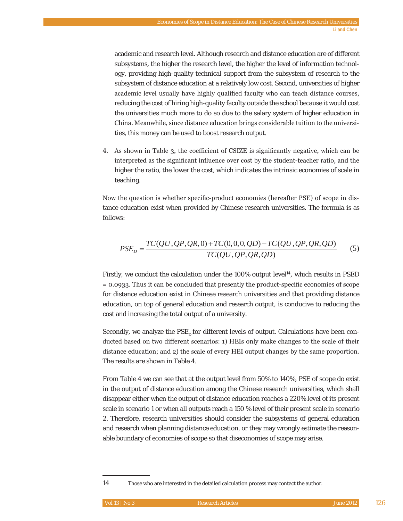academic and research level. Although research and distance education are of different subsystems, the higher the research level, the higher the level of information technology, providing high-quality technical support from the subsystem of research to the subsystem of distance education at a relatively low cost. Second, universities of higher academic level usually have highly qualified faculty who can teach distance courses, reducing the cost of hiring high-quality faculty outside the school because it would cost the universities much more to do so due to the salary system of higher education in China. Meanwhile, since distance education brings considerable tuition to the universities, this money can be used to boost research output.

4. As shown in Table 3, the coefficient of CSIZE is significantly negative, which can be interpreted as the significant influence over cost by the student-teacher ratio, and the higher the ratio, the lower the cost, which indicates the intrinsic economies of scale in teaching.

Now the question is whether specific-product economies (hereafter PSE) of scope in distance education exist when provided by Chinese research universities. The formula is as follows:

$$
PSE_D = \frac{TC(QU, QP, QR, 0) + TC(0, 0, 0, QD) - TC(QU, QP, QR, QD)}{TC(QU, QP, QR, QD)}
$$
(5)

Firstly, we conduct the calculation under the  $100\%$  output level<sup>14</sup>, which results in PSED  $= 0.0933$ . Thus it can be concluded that presently the product-specific economies of scope for distance education exist in Chinese research universities and that providing distance education, on top of general education and research output, is conducive to reducing the cost and increasing the total output of a university.

Secondly, we analyze the  $PSE<sub>p</sub>$  for different levels of output. Calculations have been conducted based on two different scenarios: 1) HEIs only make changes to the scale of their distance education; and 2) the scale of every HEI output changes by the same proportion. The results are shown in Table 4.

From Table 4 we can see that at the output level from 50% to 140%, PSE of scope do exist in the output of distance education among the Chinese research universities, which shall disappear either when the output of distance education reaches a 220% level of its present scale in scenario 1 or when all outputs reach a 150 % level of their present scale in scenario 2. Therefore, research universities should consider the subsystems of general education and research when planning distance education, or they may wrongly estimate the reasonable boundary of economies of scope so that diseconomies of scope may arise.

<sup>14</sup> Those who are interested in the detailed calculation process may contact the author.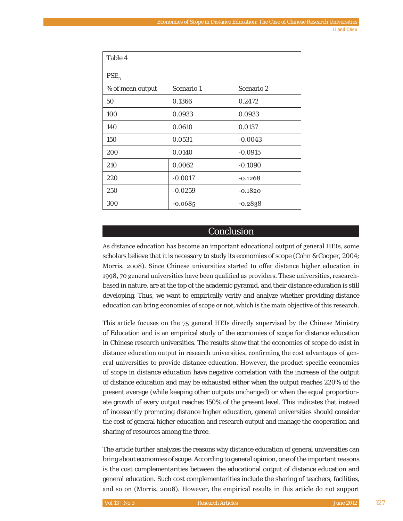| Table 4          |            |            |  |  |
|------------------|------------|------------|--|--|
| $PSE_{D}$        |            |            |  |  |
| % of mean output | Scenario 1 | Scenario 2 |  |  |
| 50               | 0.1366     | 0.2472     |  |  |
| 100              | 0.0933     | 0.0933     |  |  |
| 140              | 0.0610     | 0.0137     |  |  |
| 150              | 0.0531     | $-0.0043$  |  |  |
| 200              | 0.0140     | $-0.0915$  |  |  |
| 210              | 0.0062     | $-0.1090$  |  |  |
| 220              | $-0.0017$  | $-0.1268$  |  |  |
| 250              | $-0.0259$  | $-0.1820$  |  |  |
| 300              | $-0.0685$  | $-0.2838$  |  |  |

### Conclusion

As distance education has become an important educational output of general HEIs, some scholars believe that it is necessary to study its economies of scope (Cohn & Cooper, 2004; Morris, 2008). Since Chinese universities started to offer distance higher education in 1998, 70 general universities have been qualified as providers. These universities, researchbased in nature, are at the top of the academic pyramid, and their distance education is still developing. Thus, we want to empirically verify and analyze whether providing distance education can bring economies of scope or not, which is the main objective of this research.

This article focuses on the 75 general HEIs directly supervised by the Chinese Ministry of Education and is an empirical study of the economies of scope for distance education in Chinese research universities. The results show that the economies of scope do exist in distance education output in research universities, confirming the cost advantages of general universities to provide distance education. However, the product-specific economies of scope in distance education have negative correlation with the increase of the output of distance education and may be exhausted either when the output reaches 220% of the present average (while keeping other outputs unchanged) or when the equal proportionate growth of every output reaches 150% of the present level. This indicates that instead of incessantly promoting distance higher education, general universities should consider the cost of general higher education and research output and manage the cooperation and sharing of resources among the three.

The article further analyzes the reasons why distance education of general universities can bring about economies of scope. According to general opinion, one of the important reasons is the cost complementarities between the educational output of distance education and general education. Such cost complementarities include the sharing of teachers, facilities, and so on (Morris, 2008). However, the empirical results in this article do not support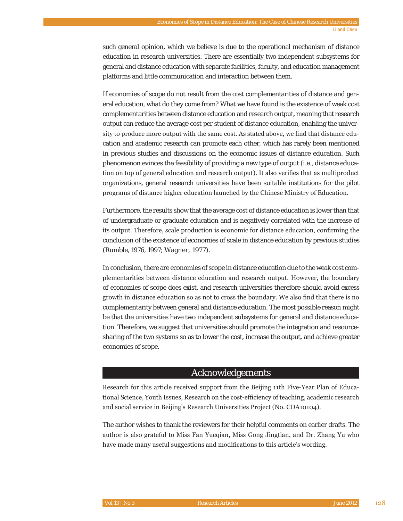such general opinion, which we believe is due to the operational mechanism of distance education in research universities. There are essentially two independent subsystems for general and distance education with separate facilities, faculty, and education management platforms and little communication and interaction between them.

If economies of scope do not result from the cost complementarities of distance and general education, what do they come from? What we have found is the existence of weak cost complementarities between distance education and research output, meaning that research output can reduce the average cost per student of distance education, enabling the university to produce more output with the same cost. As stated above, we find that distance education and academic research can promote each other, which has rarely been mentioned in previous studies and discussions on the economic issues of distance education. Such phenomenon evinces the feasibility of providing a new type of output (i.e., distance education on top of general education and research output). It also verifies that as multiproduct organizations, general research universities have been suitable institutions for the pilot programs of distance higher education launched by the Chinese Ministry of Education.

Furthermore, the results show that the average cost of distance education is lower than that of undergraduate or graduate education and is negatively correlated with the increase of its output. Therefore, scale production is economic for distance education, confirming the conclusion of the existence of economies of scale in distance education by previous studies (Rumble, 1976, 1997; Wagner, 1977).

In conclusion, there are economies of scope in distance education due to the weak cost complementarities between distance education and research output. However, the boundary of economies of scope does exist, and research universities therefore should avoid excess growth in distance education so as not to cross the boundary. We also find that there is no complementarity between general and distance education. The most possible reason might be that the universities have two independent subsystems for general and distance education. Therefore, we suggest that universities should promote the integration and resourcesharing of the two systems so as to lower the cost, increase the output, and achieve greater economies of scope.

### Acknowledgements

Research for this article received support from the Beijing 11th Five-Year Plan of Educational Science, Youth Issues, Research on the cost-efficiency of teaching, academic research and social service in Beijing's Research Universities Project (No. CDA10104).

The author wishes to thank the reviewers for their helpful comments on earlier drafts. The author is also grateful to Miss Fan Yueqian, Miss Gong Jingtian, and Dr. Zhang Yu who have made many useful suggestions and modifications to this article's wording.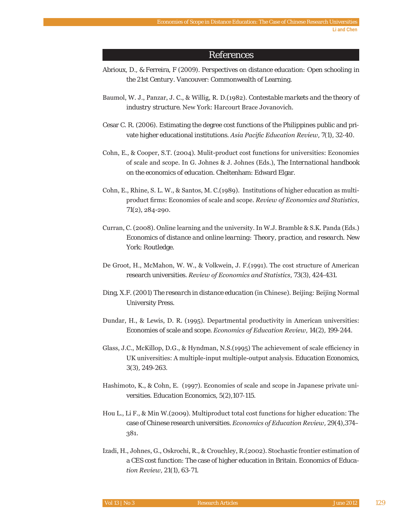### **References**

- Abrioux, D., & Ferreira, F (2009). Perspectives on distance education: Open schooling in the 21st Century. Vancouver: Commonwealth of Learning.
- Baumol, W. J., Panzar, J. C., & Willig, R. D.(1982). Contestable markets and the theory of industry structure. New York: Harcourt Brace Jovanovich.
- Cesar C. R. (2006). Estimating the degree cost functions of the Philippines public and private higher educational institutions. Asia Pacific Education Review, 7(1), 32-40.
- Cohn, E., & Cooper, S.T. (2004). Mulit-product cost functions for universities: Economies of scale and scope. In G. Johnes & J. Johnes (Eds.), The International handbook on the economics of education. Cheltenham: Edward Elgar.
- Cohn, E., Rhine, S. L. W., & Santos, M. C. (1989). Institutions of higher education as multiproduct firms: Economies of scale and scope. Review of Economics and Statistics,  $71(2)$ , 284-290.
- Curran, C. (2008). Online learning and the university. In W.J. Bramble & S.K. Panda (Eds.) Economics of distance and online learning: Theory, practice, and research. New York: Routledge.
- De Groot, H., McMahon, W. W., & Volkwein, J. F. (1991). The cost structure of American research universities. Review of Economics and Statistics, 73(3), 424-431.
- Ding, X.F. (2001) The research in distance education (in Chinese). Beijing: Beijing Normal University Press.
- Dundar, H., & Lewis, D. R. (1995). Departmental productivity in American universities: Economies of scale and scope. Economics of Education Review, 14(2), 199-244.
- Glass, J.C., McKillop, D.G., & Hyndman, N.S.(1995) The achievement of scale efficiency in UK universities: A multiple-input multiple-output analysis. Education Economics,  $3(3)$ , 249-263.
- Hashimoto, K., & Cohn, E. (1997). Economies of scale and scope in Japanese private universities. Education Economics, 5(2), 107-115.
- Hou L., Li F., & Min W. (2009). Multiproduct total cost functions for higher education: The case of Chinese research universities. Economics of Education Review, 29(4), 374-381.
- Izadi, H., Johnes, G., Oskrochi, R., & Crouchley, R. (2002). Stochastic frontier estimation of a CES cost function: The case of higher education in Britain. Economics of Education Review, 21(1), 63-71.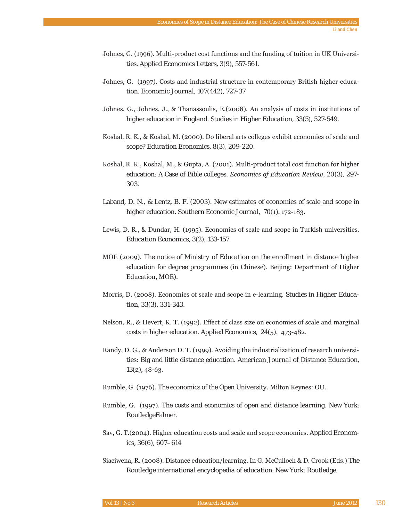- Johnes, G. (1996). Multi-product cost functions and the funding of tuition in UK Universities. *Applied Economics Letters*, *3*(9), 557-561.
- Johnes, G. (1997). Costs and industrial structure in contemporary British higher education. *Economic Journal*, *107*(442), 727-37
- Johnes, G., Johnes, J., & Thanassoulis, E. (2008). An analysis of costs in institutions of higher education in England. *Studies in Higher Education*, *33*(5), 527-549.
- Koshal, R. K., & Koshal, M. (2000). Do liberal arts colleges exhibit economies of scale and scope? *Education Economics*, *8*(3), 209-220.
- Koshal, R. K., Koshal, M., & Gupta, A. (2001). Multi-product total cost function for higher education: A Case of Bible colleges. *Economics of Education Review, 20*(3), 297-303.
- Laband, D. N., & Lentz, B. F. (2003). New estimates of economies of scale and scope in higher education. *Southern Economic Journal*, *70*
- Lewis, D. R., & Dundar, H. (1995). Economics of scale and scope in Turkish universities. *Education Economics*, 3(2), 133-157.
- MOE (2009). The notice of Ministry of Education on the enrollment in distance higher *education for degree programmes* (in Chinese). Beijing: Department of Higher Education, MOE).
- Morris, D. (2008). Economies of scale and scope in e-learning. *Studies in Higher Education*, *33*(3), 331-343.
- Nelson, R., & Hevert, K. T. (1992). Effect of class size on economies of scale and marginal costs in higher education. *Applied Economics*, *24*
- Randy, D. G., & Anderson D. T. (1999). Avoiding the industrialization of research universities: Big and little distance education. *American Journal of Distance Education*, *13*
- Rumble, G. (1976). The economics of the Open University. Milton Keynes: OU.
- Rumble, G. (1997). *The costs and economics of open and distance learning*. New York: RoutledgeFalmer.
- Sav, G. T.(2004). Higher education costs and scale and scope economies. Applied *Economics*, *36*(6), 607–614
- Siaciwena, R. (2008). Distance education/learning. In G. McCulloch & D. Crook (Eds.) The *Routledge international encyclopedia of education*. New York: Routledge.